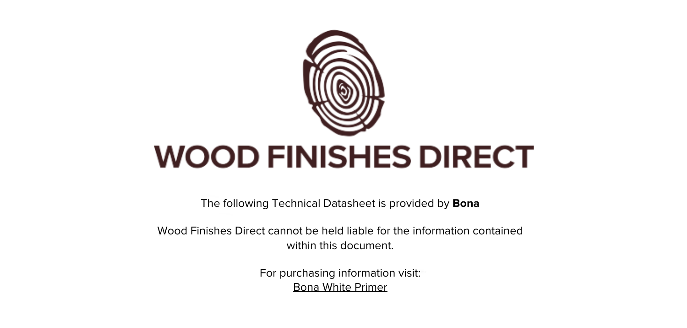

The following Technical Datasheet is provided by **Bona**

Wood Finishes Direct cannot be held liable for the information contained within this document

> For purchasing information visit: [Bona White Primer](https://www.wood-finishes-direct.com/product/bona-white-primer)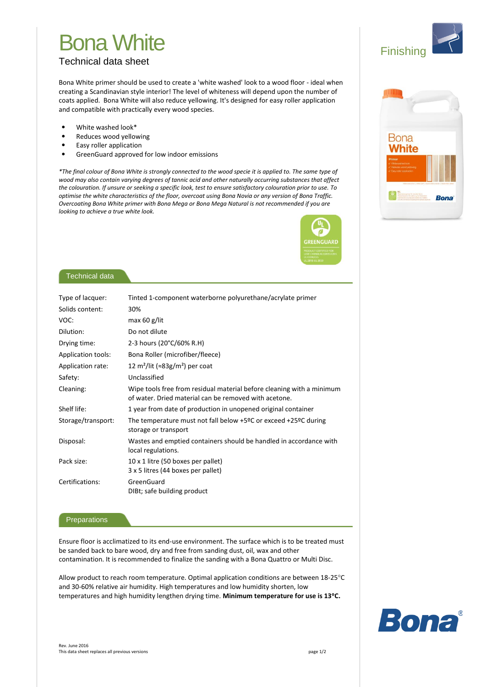# **Bona White**

# **Technical data sheet**

Bona White primer should be used to create a 'white washed' look to a wood floor - ideal when creating a Scandinavian style interior! The level of whiteness will depend upon the number of coats applied. Bona White will also reduce yellowing. It's designed for easy roller application and compatible with practically every wood species.

- $\bullet$ White washed look\*
- Reduces wood yellowing
- Easy roller application
- GreenGuard approved for low indoor emissions

\*The final colour of Bona White is strongly connected to the wood specie it is applied to. The same type of wood may also contain varying degrees of tannic acid and other naturally occurring substances that affect the colouration. If unsure or seeking a specific look, test to ensure satisfactory colouration prior to use. To optimise the white characteristics of the floor, overcoat using Bona Novia or any version of Bona Traffic. Overcoating Bona White primer with Bona Mega or Bona Mega Natural is not recommended if you are looking to achieve a true white look.



## **Technical data**

| Type of lacquer:   | Tinted 1-component waterborne polyurethane/acrylate primer                                                                     |
|--------------------|--------------------------------------------------------------------------------------------------------------------------------|
| Solids content:    | 30%                                                                                                                            |
| VOC:               | max $60$ g/lit                                                                                                                 |
| Dilution:          | Do not dilute                                                                                                                  |
| Drying time:       | 2-3 hours (20°C/60% R.H)                                                                                                       |
| Application tools: | Bona Roller (microfiber/fleece)                                                                                                |
| Application rate:  | 12 m <sup>2</sup> /lit ( $\approx$ 83g/m <sup>2</sup> ) per coat                                                               |
| Safety:            | Unclassified                                                                                                                   |
| Cleaning:          | Wipe tools free from residual material before cleaning with a minimum<br>of water. Dried material can be removed with acetone. |
| Shelf life:        | 1 year from date of production in unopened original container                                                                  |
| Storage/transport: | The temperature must not fall below +5 <sup>o</sup> C or exceed +25 <sup>o</sup> C during<br>storage or transport              |
| Disposal:          | Wastes and emptied containers should be handled in accordance with<br>local regulations.                                       |
| Pack size:         | 10 x 1 litre (50 boxes per pallet)<br>3 x 5 litres (44 boxes per pallet)                                                       |
| Certifications:    | GreenGuard<br>DIBt; safe building product                                                                                      |

### Preparations

Ensure floor is acclimatized to its end-use environment. The surface which is to be treated must be sanded back to bare wood, dry and free from sanding dust, oil, wax and other contamination. It is recommended to finalize the sanding with a Bona Quattro or Multi Disc.

Allow product to reach room temperature. Optimal application conditions are between 18-25°C and 30-60% relative air humidity. High temperatures and low humidity shorten, low temperatures and high humidity lengthen drying time. Minimum temperature for use is 13°C.